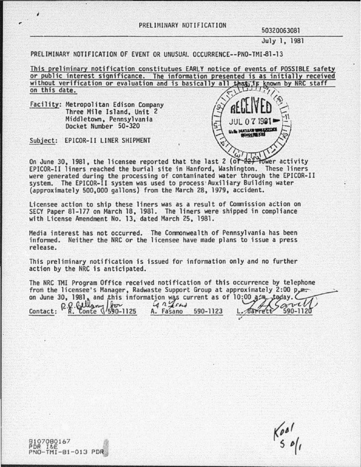July 1, 1981

PRELIMINARY NOTIFICATION OF EVENT OR UNUSUAL OCCURRENCE--PNO-TMI-81-13

This preliminary notification constitutues EARLY notice of events of POSSIBLE safety or public interest significance. The information presented is as initially received without verification or evaluation and is basically all that is known by NRC staff on this date.

Facility: Metropolitan Edison Company Three Mile Island, Unit 2 Middletown. Pennsylvania Docket Number 50-320



Subject: EPICOR-II LINER SHIPMENT

*i* 

8107080167 PDR I&E

PNO-TMI-81-013 PDR

On June 30, 1981, the licensee reported that the last 2 (or  $\frac{22}{100}$  fower EPICOR-11 liners reached the burial site in Hanford, Washington. These liners were generated during the processing of contaminated water through the EPICOR-11 system. The EPICOR-11 system was used to process·Auxiliary Building water (approximately 500.000 gallons) from the March 28. 1979, accident.

Licensee action to ship these liners was as a result of Commission action on SECY Paper 81-177 on March 18. 1981. The liners were shipped in compliance with License Amendment No. 13. dated March 25, 1981.

Media interest has not occurred. The Commonwealth of Pennsylvania has been informed. Neither the NRC or the licensee have made plans to issue a press release.

This preliminary notification is issued for information only and no further action by the NRC is anticipated.

The NRC TMI Program Office received notification of this occurrence by telephone<br>from the licensee's Manager, Radwaste Support Group at approximately 2:00 p.m.<br>on June 30, 1981, and this information was current as of 10:0

 $R$   $R$   $Q$   $\frac{1}{2}$   $\frac{1}{2}$   $\frac{1}{2}$   $\frac{1}{2}$   $\frac{1}{2}$   $\frac{1}{2}$   $\frac{1}{2}$   $\frac{1}{2}$   $\frac{1}{2}$   $\frac{1}{2}$   $\frac{1}{2}$   $\frac{1}{2}$   $\frac{1}{2}$   $\frac{1}{2}$   $\frac{1}{2}$   $\frac{1}{2}$   $\frac{1}{2}$   $\frac{1}{2}$   $\frac{1}{2}$   $\frac{1}{2}$   $\frac{1}{2}$ 

*v* 

 $\frac{1}{5}$